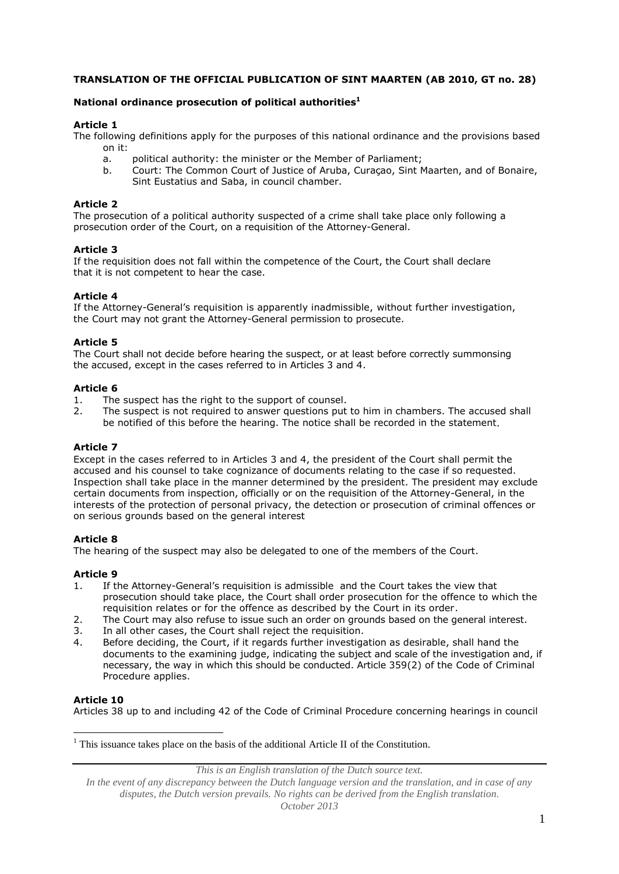# **TRANSLATION OF THE OFFICIAL PUBLICATION OF SINT MAARTEN (AB 2010, GT no. 28)**

## **National ordinance prosecution of political authorities<sup>1</sup>**

## **Article 1**

The following definitions apply for the purposes of this national ordinance and the provisions based on it:

- a. political authority: the minister or the Member of Parliament;
- b. Court: The Common Court of Justice of Aruba, Curaçao, Sint Maarten, and of Bonaire, Sint Eustatius and Saba, in council chamber.

### **Article 2**

The prosecution of a political authority suspected of a crime shall take place only following a prosecution order of the Court, on a requisition of the Attorney-General.

## **Article 3**

If the requisition does not fall within the competence of the Court, the Court shall declare that it is not competent to hear the case.

## **Article 4**

If the Attorney-General's requisition is apparently inadmissible, without further investigation, the Court may not grant the Attorney-General permission to prosecute.

## **Article 5**

The Court shall not decide before hearing the suspect, or at least before correctly summonsing the accused, except in the cases referred to in Articles 3 and 4.

## **Article 6**

- 1. The suspect has the right to the support of counsel.
- 2. The suspect is not required to answer questions put to him in chambers. The accused shall be notified of this before the hearing. The notice shall be recorded in the statement.

#### **Article 7**

Except in the cases referred to in Articles 3 and 4, the president of the Court shall permit the accused and his counsel to take cognizance of documents relating to the case if so requested. Inspection shall take place in the manner determined by the president. The president may exclude certain documents from inspection, officially or on the requisition of the Attorney-General, in the interests of the protection of personal privacy, the detection or prosecution of criminal offences or on serious grounds based on the general interest

#### **Article 8**

The hearing of the suspect may also be delegated to one of the members of the Court.

# **Article 9**

- 1. If the Attorney-General's requisition is admissible and the Court takes the view that prosecution should take place, the Court shall order prosecution for the offence to which the requisition relates or for the offence as described by the Court in its order.
- 2. The Court may also refuse to issue such an order on grounds based on the general interest.
- 3. In all other cases, the Court shall reject the requisition.
- 4. Before deciding, the Court, if it regards further investigation as desirable, shall hand the documents to the examining judge, indicating the subject and scale of the investigation and, if necessary, the way in which this should be conducted. Article 359(2) of the Code of Criminal Procedure applies.

#### **Article 10**

1

Articles 38 up to and including 42 of the Code of Criminal Procedure concerning hearings in council

 $<sup>1</sup>$  This issuance takes place on the basis of the additional Article II of the Constitution.</sup>

*This is an English translation of the Dutch source text.*

*In the event of any discrepancy between the Dutch language version and the translation, and in case of any disputes, the Dutch version prevails. No rights can be derived from the English translation. October 2013*